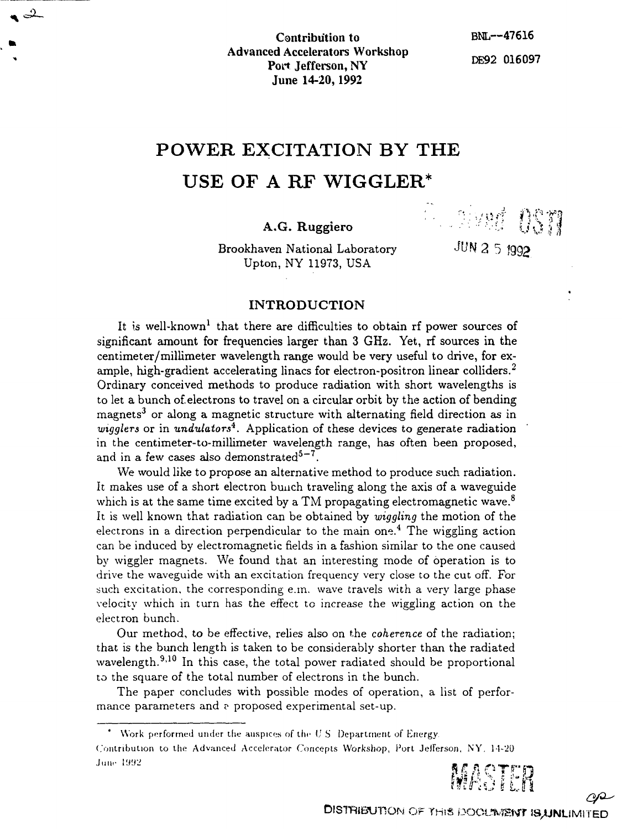Contribution to BNL—47616 Advanced Accelerators Workshop Port Jefferson, NY DE92 016097 June 14-20,1992

**M cr?\*—**

# **POWER EXCITATION BY THE**

## **USE OFAR F WIGGLER\***

## A.G. Ruggiero :,. U

Brookhaven National Laboratory JUN 2 5 1992 Upton, NY 11973, USA

t

**: •<sup>r</sup>::=/uff fV**

### **INTRODUCTION**

It is well-known<sup>1</sup> that there are difficulties to obtain rf power sources of significant amount for frequencies larger than 3 GHz. Yet, rf sources in the centimeter/millimeter wavelength range would be very useful to drive, for example, high-gradient accelerating linacs for electron-positron linear colliders.<sup>2</sup> Ordinary conceived methods to produce radiation with short wavelengths is to let a bunch of.electrons to travel on a circular orbit by the action of bending magnets<sup>3</sup> or along a magnetic structure with alternating field direction as in *wigglers* or in *undulators\**. Application of these devices to generate radiation in the centimeter-to-millimeter wavelength range, has often been proposed, and in a few cases also demonstrated $^{5-7}$ .

We would like to propose an alternative method to produce such radiation. It makes use of a short electron bunch traveling along the axis of a waveguide which is at the same time excited by a TM propagating electromagnetic wave.<sup>8</sup> It is well known that radiation can be obtained by *wiggling* the motion of the electrons in a direction perpendicular to the main one.<sup>4</sup> The wiggling action can be induced by electromagnetic fields in a fashion similar to the one caused by wiggler magnets. We found that an interesting mode of operation is to drive the waveguide with an excitation frequency very close to the cut off. For such excitation, the corresponding e.m. wave travels with a very large phase velocity which in turn has the effect to increase the wiggling action on the electron bunch.

Our method, to be effective, relies also on the *coherence* of the radiation; that is the bunch length is taken to be considerably shorter than the radiated wavelength.<sup>9,10</sup> In this case, the total power radiated should be proportional to the square of the total number of electrons in the bunch.

The paper concludes with possible modes of operation, a list of performance parameters and ? proposed experimental set-up.

Contribution to the Advanced Accelerator Concepts Workshop, Port Jefferson, NY. 14-20 June 1992



 $O^{\mathcal{Q}}$ 

<sup>\*</sup> Work performed under the auspices of the  $US$  Department of Energy.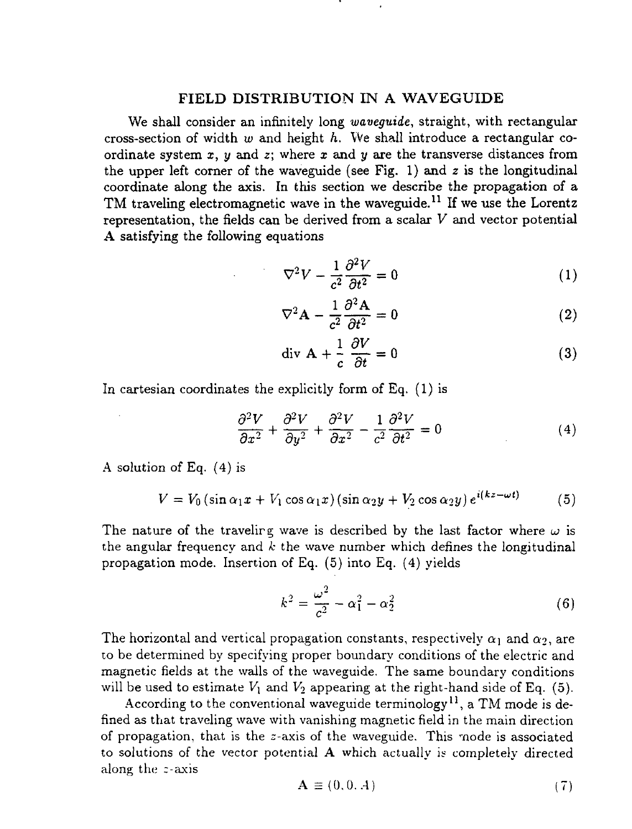#### **FIELD DISTRIBUTION IN A WAVEGUIDE**

**We shall consider an infinitely long** *waveguide,* **straight, with rectangular** cross-section of width w and height h. We shall introduce a rectangular co**ordinate system** *x, y* **and** *z;* where *x* **and** *y* **are the transverse distances from the upper left corner of the waveguide (see Fig. 1) and** *z* **is the longitudinal coordinate along the axis. In this section we describe the propagation of a TM traveling electromagnetic wave in the waveguide.<sup>11</sup> If we use the Lorentz representation, the fields** can **be derived from a scalar** *V* **and vector potential A satisfying** the **following** equations

$$
\nabla^2 V - \frac{1}{c^2} \frac{\partial^2 V}{\partial t^2} = 0 \tag{1}
$$

$$
\nabla^2 \mathbf{A} - \frac{1}{c^2} \frac{\partial^2 \mathbf{A}}{\partial t^2} = 0
$$
 (2)

$$
\text{div } \mathbf{A} + \frac{1}{c} \frac{\partial V}{\partial t} = 0 \tag{3}
$$

In cartesian coordinates the explicitly form of Eq. (1) is

$$
\frac{\partial^2 V}{\partial x^2} + \frac{\partial^2 V}{\partial y^2} + \frac{\partial^2 V}{\partial x^2} - \frac{1}{c^2} \frac{\partial^2 V}{\partial t^2} = 0
$$
 (4)

A solution of Eq. (4) is

$$
V = V_0 \left( \sin \alpha_1 x + V_1 \cos \alpha_1 x \right) \left( \sin \alpha_2 y + V_2 \cos \alpha_2 y \right) e^{i(kz - \omega t)} \tag{5}
$$

The nature of the traveling wave is described by the last factor where  $\omega$  is the angular frequency and *k* the wave number which defines the longitudinal propagation mode. Insertion of Eq. (5) into Eq. (4) yields

$$
k^{2} = \frac{\omega^{2}}{c^{2}} - \alpha_{1}^{2} - \alpha_{2}^{2}
$$
 (6)

The horizontal and vertical propagation constants, respectively  $\alpha_1$  and  $\alpha_2$ , are to be determined by specifying proper boundary conditions of the electric and magnetic fields at the walls of the waveguide. The same boundary conditions will be used to estimate  $V_1$  and  $V_2$  appearing at the right-hand side of Eq. (5).

According to the conventional waveguide terminology<sup>11</sup>, a TM mode is defined as that traveling wave with vanishing magnetic field in the main direction of propagation, that is the  $z$ -axis of the waveguide. This mode is associated to solutions of the vector potential A which actually is completely directed along the c-axis

$$
\mathbf{A} \equiv (0, 0, A) \tag{7}
$$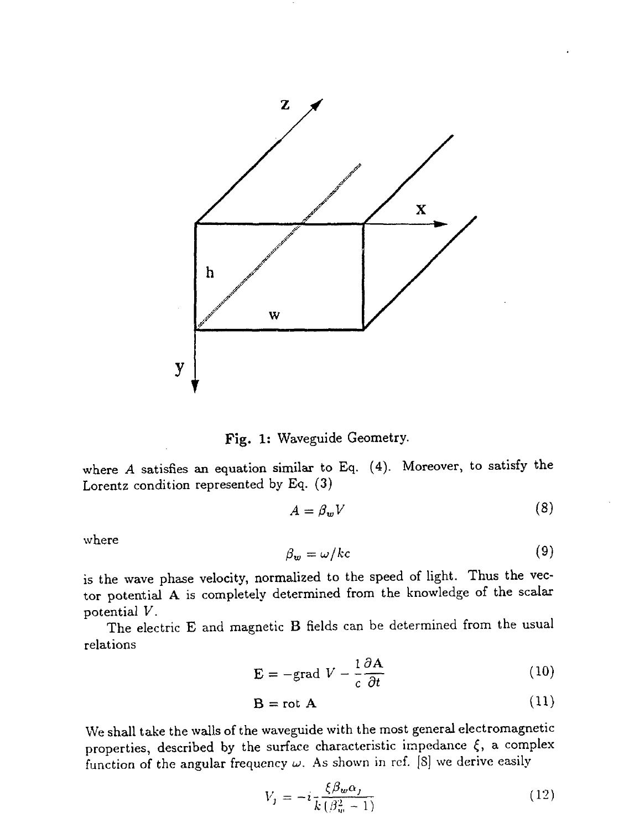



where *A* satisfies an equation similar to Eq. (4). Moreover, to satisfy the Lorentz condition represented by Eq. (3)

$$
A = \beta_w V \tag{8}
$$

where

$$
\beta_w = \omega / kc \tag{9}
$$

is the wave phase velocity, normalized to the speed of light. Thus the vector potential A is completely determined from the knowledge of the scalar potential *V.*

The electric E and magnetic B fields can be determined from the usual relations

$$
\mathbf{E} = -\text{grad } V - \frac{1}{c} \frac{\partial \mathbf{A}}{\partial t}
$$
 (10)

$$
\mathbf{B} = \text{rot } \mathbf{A} \tag{11}
$$

We shall take the walls of the waveguide with the most general electromagnetic properties, described by the surface characteristic impedance  $\xi$ , a complex function of the angular frequency  $\omega$ . As shown in ref. [8] we derive easily

$$
V_{j} = -i \frac{\xi \beta_{w} \alpha_{j}}{k \left(\beta_{w}^{2} - 1\right)}
$$
\n(12)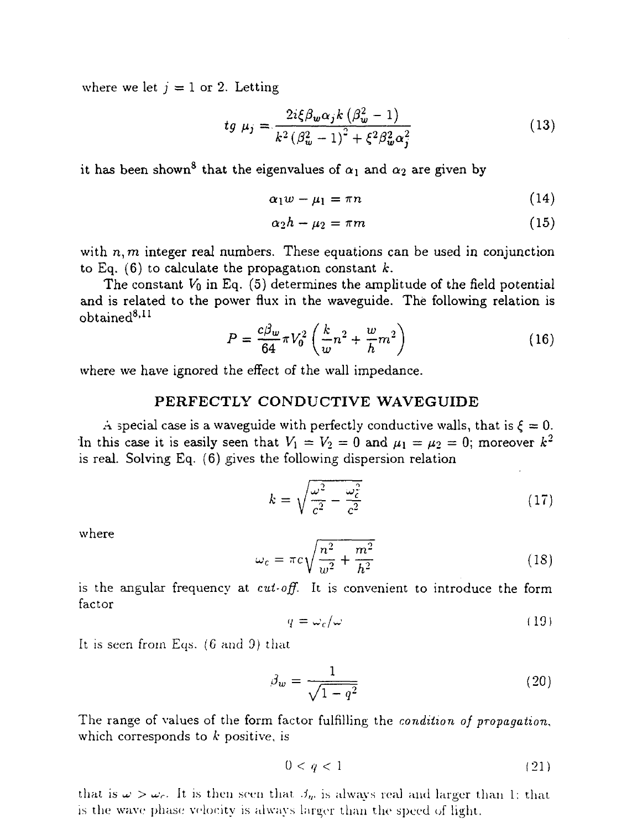where we let  $j = 1$  or 2. Letting

$$
tg \mu_j = \frac{2i\xi\beta_w\alpha_j k \left(\beta_w^2 - 1\right)}{k^2 \left(\beta_w^2 - 1\right)^2 + \xi^2\beta_w^2 \alpha_j^2} \tag{13}
$$

it has been shown<sup>8</sup> that the eigenvalues of  $\alpha_1$  and  $\alpha_2$  are given by

$$
\alpha_1 w - \mu_1 = \pi n \tag{14}
$$

$$
\alpha_2 h - \mu_2 = \pi m \tag{15}
$$

with  $n, m$  integer real numbers. These equations can be used in conjunction to Eq. (6) to calculate the propagation constant *k.*

The constant  $V_0$  in Eq. (5) determines the amplitude of the field potential and is related to the power flux in the waveguide. The following relation is  $_{\rm obtained}^{\rm 8,11}$ 

$$
P = \frac{c\beta_w}{64}\pi V_0^2 \left(\frac{k}{w}n^2 + \frac{w}{h}m^2\right)
$$
 (16)

where we have ignored the effect of the wall impedance.

#### **PERFECTLY CONDUCTIVE WAVEGUIDE**

A special case is a waveguide with perfectly conductive walls, that is  $\xi = 0$ . In this case it is easily seen that  $V_1 = V_2 = 0$  and  $\mu_1 = \mu_2 = 0$ ; moreover  $k^2$ is real. Solving Eq. (6) gives the following dispersion relation

$$
k = \sqrt{\frac{\omega^2}{c^2} - \frac{\omega_c^2}{c^2}}\tag{17}
$$

where

$$
\omega_c = \pi c \sqrt{\frac{n^2}{w^2} + \frac{m^2}{h^2}}\tag{18}
$$

is the angular frequency at *cut-off.* It is convenient to introduce the form factor

$$
q = \omega_c/\omega \tag{19}
$$

It is seen from Eqs. (6 and 9) that

$$
\beta_w = \frac{1}{\sqrt{1 - q^2}}\tag{20}
$$

The range of values of the form factor fulfilling the *condition of propagation,* which corresponds to *k* positive, is

$$
0 < q < 1 \tag{21}
$$

that is  $\omega > \omega_c$ . It is then seen that  $\beta_w$  is always real and larger than 1: that is the wave phase velocity is always larger than the speed of light.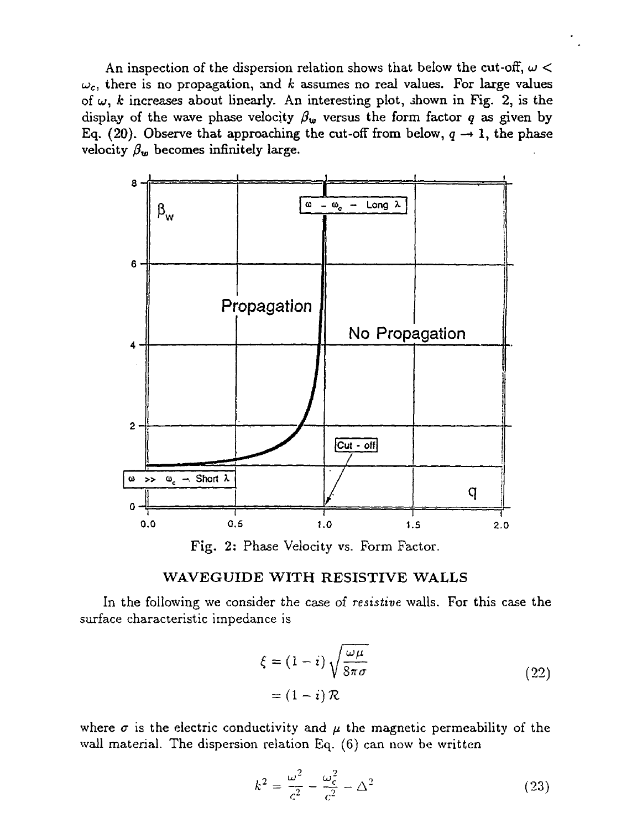An inspection of the dispersion relation shows that below the cut-off,  $\omega$  <  $\omega_c$ , there is no propagation, and *k* assumes no real values. For large values of  $\omega$ , k increases about linearly. An interesting plot, shown in Fig. 2, is the display of the wave phase velocity  $\beta_w$  versus the form factor q as given by Eq. (20). Observe that approaching the cut-off from below,  $q \rightarrow 1$ , the phase velocity  $\beta_w$  becomes infinitely large.



Fig. 2: Phase Velocity vs. Form Factor.

#### WAVEGUIDE WITH RESISTIVE WALLS

In the following we consider the case of *resistive* walls. For this case the surface characteristic impedance is

$$
\xi = (1 - i) \sqrt{\frac{\omega \mu}{8 \pi \sigma}}
$$
  
=  $(1 - i) \mathcal{R}$  (22)

where  $\sigma$  is the electric conductivity and  $\mu$  the magnetic permeability of the wall material. The dispersion relation Eq. (6) can now be written

$$
k^2 = \frac{\omega^2}{c^2} - \frac{\omega_c^2}{c^2} - \Delta^2
$$
 (23)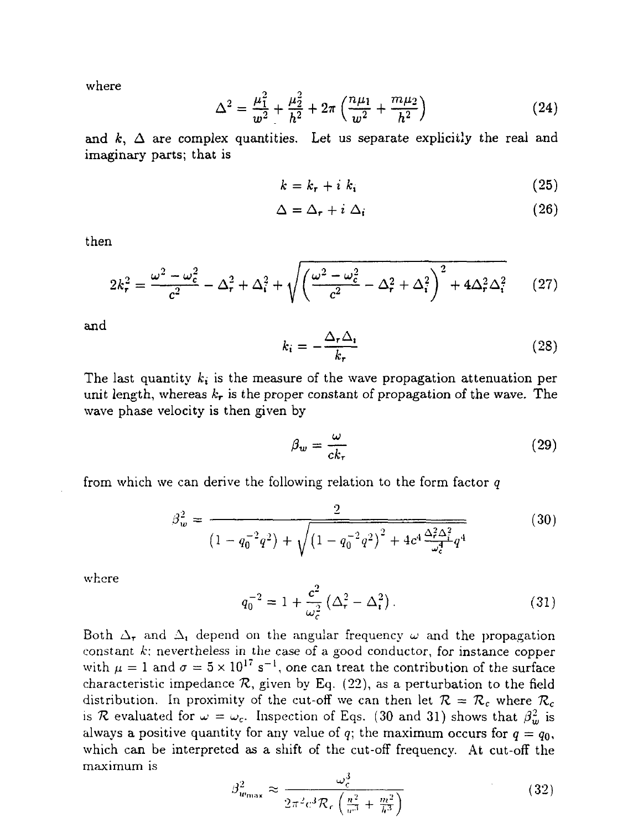where

$$
\Delta^2 = \frac{\mu_1^2}{w^2} + \frac{\mu_2^2}{h^2} + 2\pi \left( \frac{n\mu_1}{w^2} + \frac{m\mu_2}{h^2} \right)
$$
 (24)

and  $k, \Delta$  are complex quantities. Let us separate explicitly the real and imaginary parts; that is

$$
k = k_r + i k_i \tag{25}
$$

$$
\Delta = \Delta_{\tau} + i \Delta_i \tag{26}
$$

then

$$
2k_r^2 = \frac{\omega^2 - \omega_c^2}{c^2} - \Delta_r^2 + \Delta_i^2 + \sqrt{\left(\frac{\omega^2 - \omega_c^2}{c^2} - \Delta_r^2 + \Delta_i^2\right)^2 + 4\Delta_r^2 \Delta_i^2} \tag{27}
$$

and

$$
k_i = -\frac{\Delta_r \Delta_i}{k_r} \tag{28}
$$

The last quantity  $k_i$  is the measure of the wave propagation attenuation per unit length, whereas  $k_{\bm{\tau}}$  is the proper constant of propagation of the wave. The wave phase velocity is then given by

$$
\beta_w = \frac{\omega}{ck_\tau} \tag{29}
$$

from which we can derive the following relation to the form factor *q*

$$
\beta_w^2 = \frac{2}{\left(1 - q_0^{-2}q^2\right) + \sqrt{\left(1 - q_0^{-2}q^2\right)^2 + 4c^4 \frac{\Delta_r^2 \Delta_i^2}{\omega_c^4} q^4}}\tag{30}
$$

where

$$
q_0^{-2} = 1 + \frac{c^2}{\omega_c^2} \left( \Delta_r^2 - \Delta_i^2 \right).
$$
 (31)

Both  $\Delta_{\bf r}$  and  $\Delta_{\bf i}$  depend on the angular frequency  $\omega$  and the propagation constant *k;* nevertheless in the case of a good conductor, for instance copper with  $\mu = 1$  and  $\sigma = 5 \times 10^{17}$  s<sup>-1</sup>, one can treat the contribution of the surface characteristic impedance  $R$ , given by Eq. (22), as a perturbation to the field distribution. In proximity of the cut-off we can then let  $\mathcal{R} = \mathcal{R}_c$  where  $\mathcal{R}_c$ is *R* evaluated for  $\omega = \omega_c$ . Inspection of Eqs. (30 and 31) shows that  $\beta_w^2$  is always a positive quantity for any value of  $q$ ; the maximum occurs for  $q = q_0$ , which can be interpreted as a shift of the cut-off frequency. At cut-off the maximum is

$$
\beta_{w_{\text{max}}}^2 \approx \frac{\omega_c^3}{2\pi^2 c^3 \mathcal{R}_c \left(\frac{n^2}{w^3} + \frac{m^2}{h^3}\right)}\tag{32}
$$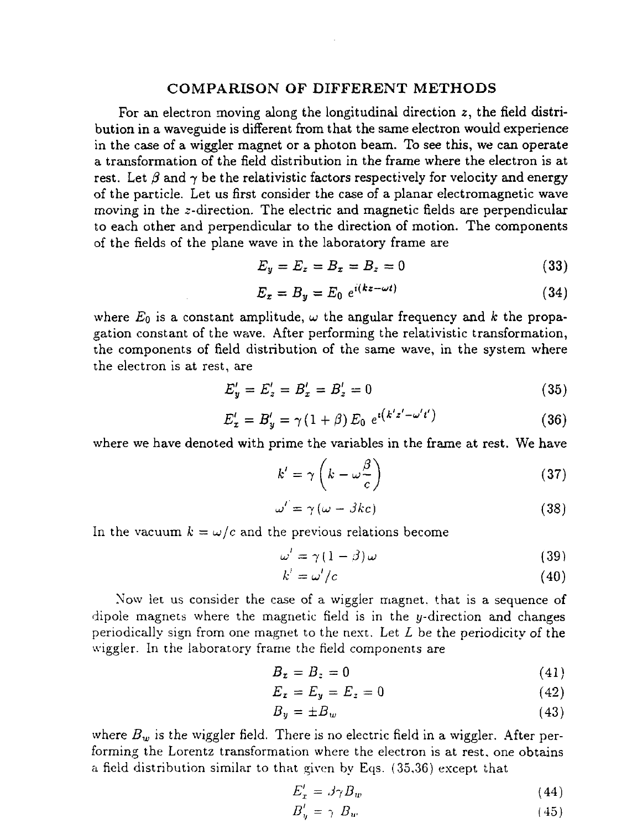#### **COMPARISON OF DIFFERENT METHODS**

For an electron moving along the longitudinal direction *z,* the field distribution in a waveguide is different from that the same electron would experience in the case of a wiggler magnet or a photon beam. To see this, we can operate a transformation of the field distribution in the frame where the electron is at rest. Let  $\beta$  and  $\gamma$  be the relativistic factors respectively for velocity and energy of the particle. Let us first consider the case of a planar electromagnetic wave moving in the z-direction. The electric and magnetic fields are perpendicular to each other and perpendicular to the direction of motion. The components of the fields of the plane wave in the laboratory frame are

$$
E_y = E_z = B_x = B_z = 0 \tag{33}
$$

$$
E_x = B_y = E_0 e^{i(kz - \omega t)} \tag{34}
$$

where  $E_0$  is a constant amplitude,  $\omega$  the angular frequency and k the propagation constant of the wave. After performing the relativistic transformation, the components of field distribution of the same wave, in the system where the electron is at rest, are

$$
E'_y = E'_z = B'_x = B'_z = 0 \tag{35}
$$

$$
E'_x = B'_y = \gamma (1 + \beta) E_0 e^{i(k'z' - \omega' t')} \tag{36}
$$

where we have denoted with prime the variables in the frame at rest. We have

$$
k' = \gamma \left( k - \omega \frac{\beta}{c} \right) \tag{37}
$$

$$
\omega' = \gamma \left( \omega - \beta k c \right) \tag{38}
$$

In the vacuum  $k = \omega/c$  and the previous relations become

$$
\omega' = \gamma (1 - \beta) \omega \tag{39}
$$

$$
k' = \omega'/c \tag{40}
$$

Now let us consider the case of a wiggler magnet, that is a sequence of dipole magnets where the magnetic field is in the y-direction and changes periodically sign from one magnet to the next. Let *L* be the periodicity of the wiggler. In the laboratory frame the field components are

$$
B_x = B_z = 0 \tag{41}
$$

$$
E_x = E_y = E_z = 0 \tag{42}
$$

$$
B_y = \pm B_w \tag{43}
$$

where  $B_w$  is the wiggler field. There is no electric field in a wiggler. After performing the Lorentz transformation where the electron is at rest, one obtains a field distribution similar to that given by Eqs. (35,36) except that

$$
E_x' = \beta \gamma B_w \tag{44}
$$

$$
B'_{\eta} = \gamma \ B_w \tag{45}
$$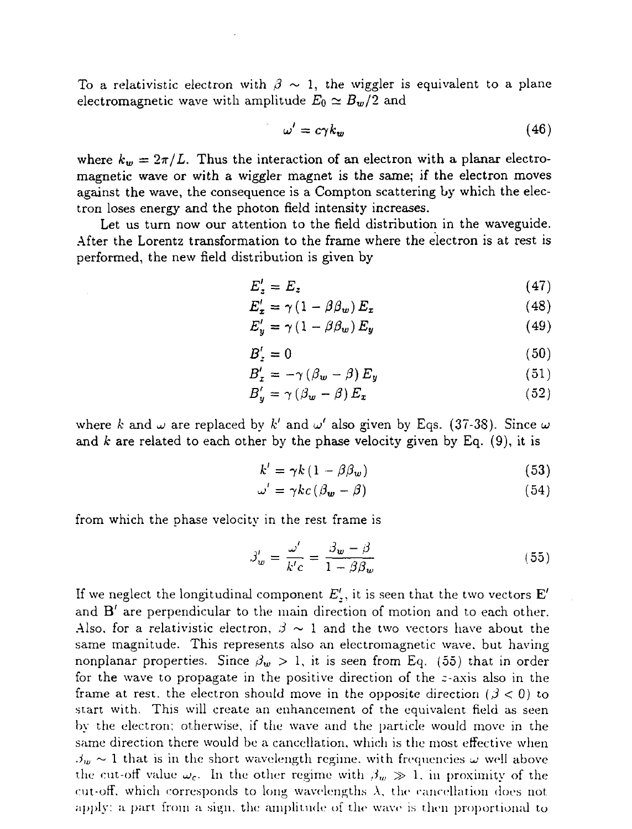To a relativistic electron with  $\beta \sim 1$ , the wiggler is equivalent to a plane electromagnetic wave with amplitude  $E_0 \simeq B_w/2$  and

$$
\omega' = c\gamma k_w \tag{46}
$$

where  $k_w = 2\pi/L$ . Thus the interaction of an electron with a planar electromagnetic wave or with a wiggler magnet is the same; if the electron moves against the wave, the consequence is a Compton scattering by which the electron loses energy and the photon field intensity increases.

Let us turn now our attention to the field distribution in the waveguide. After the Lorentz transformation to the frame where the electron is at rest is performed, the new field distribution is given by

$$
E_z' = E_z \tag{47}
$$

$$
E'_{z} = \gamma (1 - \beta \beta_{w}) E_{z}
$$
 (48)

$$
E'_y = \gamma (1 - \beta \beta_w) E_y \tag{49}
$$

$$
B_z' = 0 \tag{50}
$$

$$
B'_{x} = -\gamma \left( \beta_{w} - \beta \right) E_{y} \tag{51}
$$

$$
B'_{y} = \gamma (\beta_{w} - \beta) E_{z}
$$
 (52)

where *k* and  $\omega$  are replaced by  $k'$  and  $\omega'$  also given by Eqs. (37-38). Since  $\omega$ and *k* are related to each other by the phase velocity given by Eq. (9), it is

$$
k' = \gamma k \left( 1 - \beta \beta_w \right) \tag{53}
$$

$$
\omega' = \gamma k c \left( \beta_{\mathbf{w}} - \beta \right) \tag{54}
$$

from which the phase velocity in the rest frame is

$$
\beta_w' = \frac{\omega'}{k'c} = \frac{\beta_w - \beta}{1 - \beta \beta_w} \tag{55}
$$

If we neglect the longitudinal component  $E'_z$ , it is seen that the two vectors  $\mathbf{E}'$ and  $B'$  are perpendicular to the main direction of motion and to each other. Also, for a relativistic electron,  $\beta \sim 1$  and the two vectors have about the same magnitude. This represents also an electromagnetic wave, but having nonplanar properties. Since  $\beta_w > 1$ , it is seen from Eq. (55) that in order for the wave to propagate in the positive direction of the  $z$ -axis also in the frame at rest, the electron should move in the opposite direction  $(\beta < 0)$  to start with. This will create an enhancement of the equivalent field as seen by the electron; otherwise, if the wave and the particle would move in the same direction there would be a cancellation, which is the most effective when  $\beta_w \sim 1$  that is in the short wavelength regime, with frequencies  $\omega$  well above the cut-off value  $\omega_c$ . In the other regime with  $\beta_w \gg 1$ , in proximity of the cut-off, which corresponds to long wavelengths  $\lambda$ , the cancellation does not. apply: a part from a sign, the amplitude of the wave is then proportional to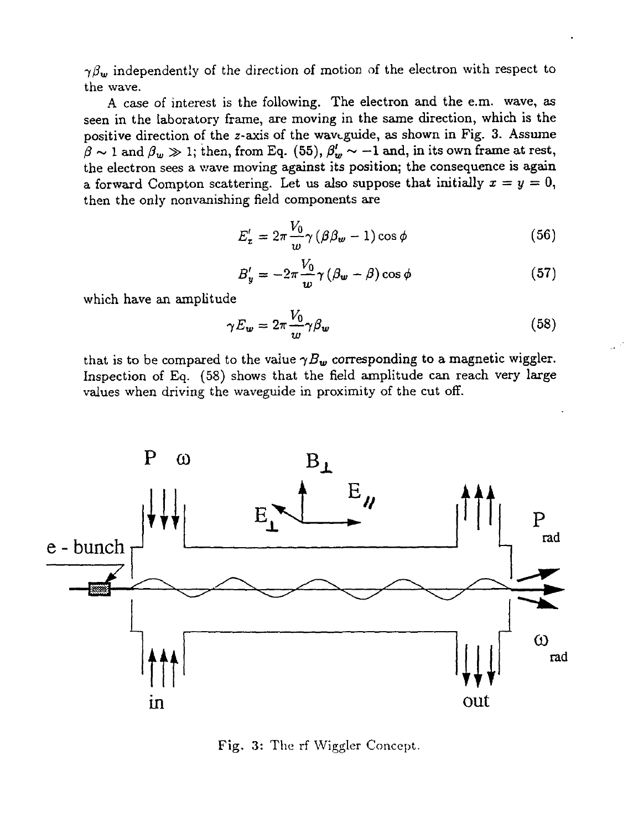$\gamma\beta_w$  independently of the direction of motion of the electron with respect to the wave.

A case of interest is the following. The electron and the e.m. wave, as seen in the laboratory frame, are moving in the same direction, which is the positive direction of the z-axis of the wavtguide, as shown in Fig. 3. Assume  $\beta \sim 1$  and  $\beta_w \gg 1$ ; then, from Eq. (55),  $\beta'_w \sim -1$  and, in its own frame at rest, the electron sees a wave moving against its position; the consequence is again a forward Compton scattering. Let us also suppose that initially  $x = y = 0$ , then the only nonvanishing field components are

$$
E'_{\tau} = 2\pi \frac{V_0}{w} \gamma \left(\beta \beta_w - 1\right) \cos \phi \tag{56}
$$

$$
B'_y = -2\pi \frac{V_0}{w} \gamma (\beta_w - \beta) \cos \phi \tag{57}
$$

which have an amplitude

$$
\gamma E_{\mathbf{w}} = 2\pi \frac{V_0}{w} \gamma \beta_{\mathbf{w}} \tag{58}
$$

that is to be compared to the value  $\gamma B_w$  corresponding to a magnetic wiggler. Inspection of Eq. (58) shows that the field amplitude can reach very large values when driving the waveguide in proximity of the cut off.



Fig. 3: The rf Wiggler Concept.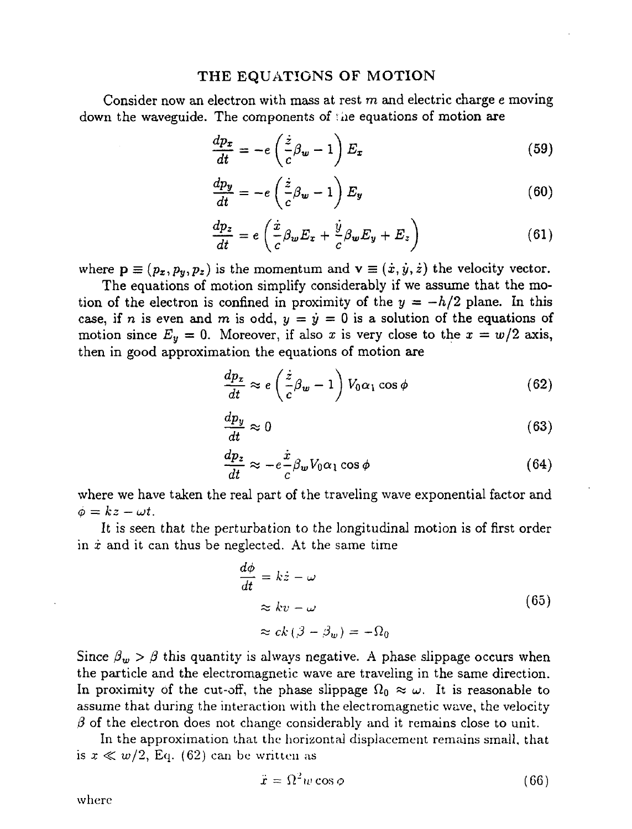#### THE EQUATIONS OF MOTION

Consider now an electron with mass at rest *m* and electric charge e moving down the waveguide. The components of *\iie* equations of motion are

$$
\frac{dp_x}{dt} = -e\left(\frac{\dot{z}}{c}\beta_w - 1\right)E_x\tag{59}
$$

$$
\frac{dp_y}{dt} = -e\left(\frac{\dot{z}}{c}\beta_w - 1\right)E_y\tag{60}
$$

$$
\frac{dp_z}{dt} = e\left(\frac{\dot{x}}{c}\beta_w E_x + \frac{\dot{y}}{c}\beta_w E_y + E_z\right)
$$
(61)

where  $\mathbf{p} \equiv (p_x, p_y, p_z)$  is the momentum and  $\mathbf{v} \equiv (\dot{x}, \dot{y}, \dot{z})$  the velocity vector.

The equations of motion simplify considerably if we assume that the motion of the electron is confined in proximity of the  $y = -h/2$  plane. In this case, if *n* is even and *m* is odd,  $y = \dot{y} = 0$  is a solution of the equations of motion since  $E_y = 0$ . Moreover, if also x is very close to the  $x = w/2$  axis, then in good approximation the equations of motion are

$$
\frac{dp_x}{dt} \approx e\left(\frac{\dot{z}}{c}\beta_w - 1\right) V_0 \alpha_1 \cos \phi \tag{62}
$$

$$
\frac{dp_y}{dt} \approx 0\tag{63}
$$

$$
\frac{dp_z}{dt} \approx -e\frac{\dot{x}}{c} \beta_w V_0 \alpha_1 \cos \phi \tag{64}
$$

where we have taken the real part of the traveling wave exponential factor and  $\phi = kz - \omega t$ .

It is seen that the perturbation to the longitudinal motion is of first order in *x* and it can thus be neglected. At the same time

$$
\frac{d\phi}{dt} = k\dot{z} - \omega
$$
  
\n
$$
\approx kv - \omega
$$
  
\n
$$
\approx ck \left(\beta - \beta_w\right) = -\Omega_0
$$
\n(65)

Since  $\beta_w > \beta$  this quantity is always negative. A phase slippage occurs when the particle and the electromagnetic wave are traveling in the same direction. In proximity of the cut-off, the phase slippage  $\Omega_0 \approx \omega$ . It is reasonable to assume that during the interaction with the electromagnetic wave, the velocity  $\beta$  of the electron does not change considerably and it remains close to unit.

In the approximation that the horizontal displacement remains small, that is  $x \ll w/2$ , Eq. (62) can be written as

$$
\ddot{x} = \Omega^2 w \cos \phi \tag{66}
$$

where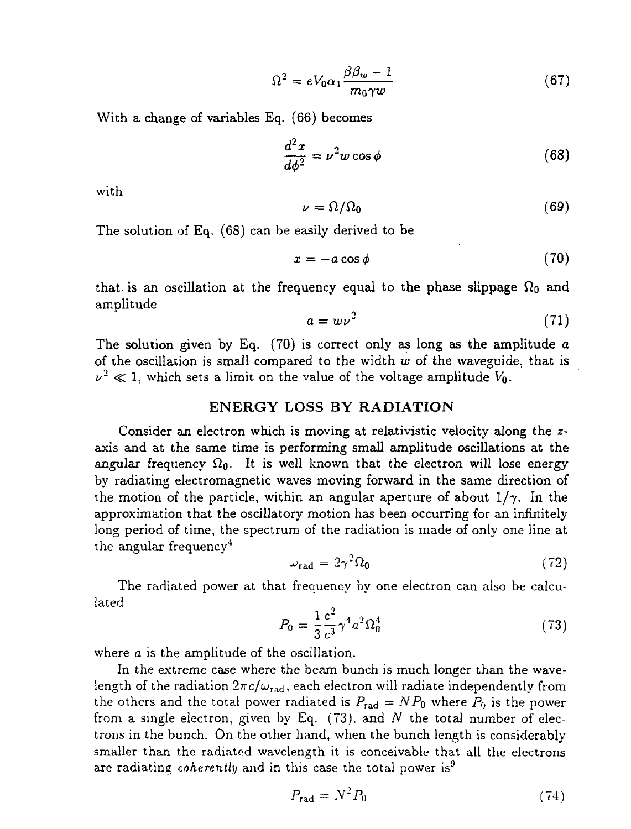$$
\Omega^2 = eV_0 \alpha_1 \frac{\beta \beta_w - 1}{m_0 \gamma w} \tag{67}
$$

With a change of variables Eq. (66) becomes

$$
\frac{d^2x}{d\phi^2} = \nu^2 w \cos \phi \tag{68}
$$

with

$$
\nu = \Omega / \Omega_0 \tag{69}
$$

The solution of Eq. (68) can be easily derived to be

$$
x = -a\cos\phi\tag{70}
$$

that, is an oscillation at the frequency equal to the phase slippage  $\Omega_0$  and amplitude

$$
a = w\nu^2 \tag{71}
$$

The solution given by Eq.  $(70)$  is correct only as long as the amplitude a of the oscillation is small compared to the width *w* of the waveguide, that is  $\nu^2 \ll 1$ , which sets a limit on the value of the voltage amplitude  $V_0$ .

#### ENERGY LOSS BY RADIATION

Consider an electron which is moving at relativistic velocity along the zaxis and at the same time is performing small amplitude oscillations at the angular frequency  $\Omega_0$ . It is well known that the electron will lose energy by radiating electromagnetic waves moving forward in the same direction of the motion of the particle, within an angular aperture of about  $1/\gamma$ . In the approximation that the oscillatory motion has been occurring for an infinitely long period of time, the spectrum of the radiation is made of only one line at the angular frequency<sup>4</sup>

$$
\omega_{\rm rad} = 2\gamma^2 \Omega_0 \tag{72}
$$

The radiated power at that frequency by one electron can also be calculated

$$
P_0 = \frac{1}{3} \frac{e^2}{c^3} \gamma^4 a^2 \Omega_0^4 \tag{73}
$$

where *a* is the amplitude of the oscillation.

In the extreme case where the beam bunch is much longer than the wavelength of the radiation  $2\pi c/\omega_{\text{rad}}$ , each electron will radiate independently from the others and the total power radiated is  $P_{rad} = NP_0$  where  $P_0$  is the power from a single electron, given by Eq. (73). and *N* the total number of electrons in the bunch. On the other hand, when the bunch length is considerably smaller than the radiated wavelength it is conceivable that all the electrons are radiating *coherently* and in this case the total power is<sup>9</sup>

$$
P_{\rm rad} = N^2 P_0 \tag{74}
$$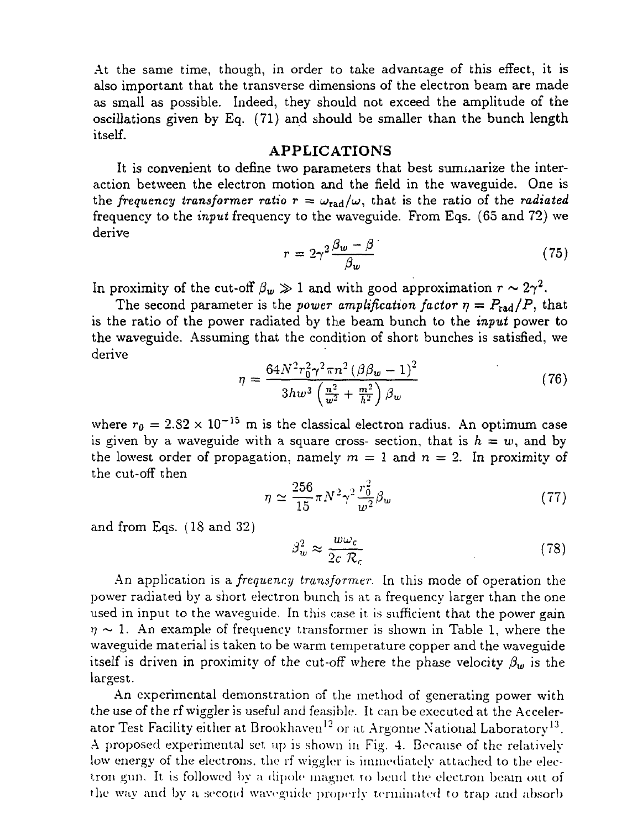At the same time, though, in order to take advantage of this effect, it is also important that the transverse dimensions of the electron beam are made as small as possible. Indeed, they should not exceed the amplitude of the oscillations given by Eq. (71) and should be smaller than the bunch length itself.

#### **APPLICATIONS**

It is convenient to define two parameters that best summarize the interaction between the electron motion and the field in the waveguide. One is the frequency transformer ratio  $r = \omega_{rad}/\omega$ , that is the ratio of the *radiated* frequency to the *input* frequency to the waveguide. From Eqs. (65 and 72) we derive

$$
r = 2\gamma^2 \frac{\beta_w - \beta}{\beta_w} \tag{75}
$$

In proximity of the cut-off  $\beta_w \gg 1$  and with good approximation  $r \sim 2\gamma^2$ .

The second parameter is the *power amplification factor*  $\eta = P_{rad}/P$ , that is the ratio of the power radiated by the beam bunch to the *input* power to the waveguide. Assuming that the condition of short bunches is satisfied, we derive

$$
\eta = \frac{64N^2r_0^2\gamma^2\pi n^2\left(\beta\beta_w - 1\right)^2}{3hw^3\left(\frac{n^2}{w^2} + \frac{m^2}{h^2}\right)\beta_w} \tag{76}
$$

where  $r_0 = 2.82 \times 10^{-15}$  m is the classical electron radius. An optimum case is given by a waveguide with a square cross- section, that is  $h = w$ , and by the lowest order of propagation, namely  $m = 1$  and  $n = 2$ . In proximity of the cut-off then

$$
\eta \simeq \frac{256}{15} \pi N^2 \gamma^2 \frac{r_0^2}{w^2} \beta_w \tag{77}
$$

and from Eqs. (18 and 32)

$$
\beta_w^2 \approx \frac{w\omega_c}{2c \mathcal{R}_c} \tag{78}
$$

An application is a *frequency transformer.* In this mode of operation the power radiated by a short electron bunch is at a frequency larger than the one used in input to the waveguide. In this case it is sufficient that the power gain  $\eta \sim 1$ . An example of frequency transformer is shown in Table 1, where the waveguide material is taken to be warm temperature copper and the waveguide itself is driven in proximity of the cut-off where the phase velocity  $\beta_w$  is the largest.

An experimental demonstration of the method of generating power with the use of the rf wiggler is useful and feasible. It can be executed at the Accelerator Test Facility either at Brookhaven<sup>12</sup> or at Argonne National Laboratory<sup>13</sup>. A proposed experimental set up is shown in Fig. 4. Because of the relatively low energy of the electrons, the rf wiggler is immediately attached to the electron gun. It is followed by a dipole magnet to bend the electron beam out of the way and by a. second waveguide properly terminated to trap and absorb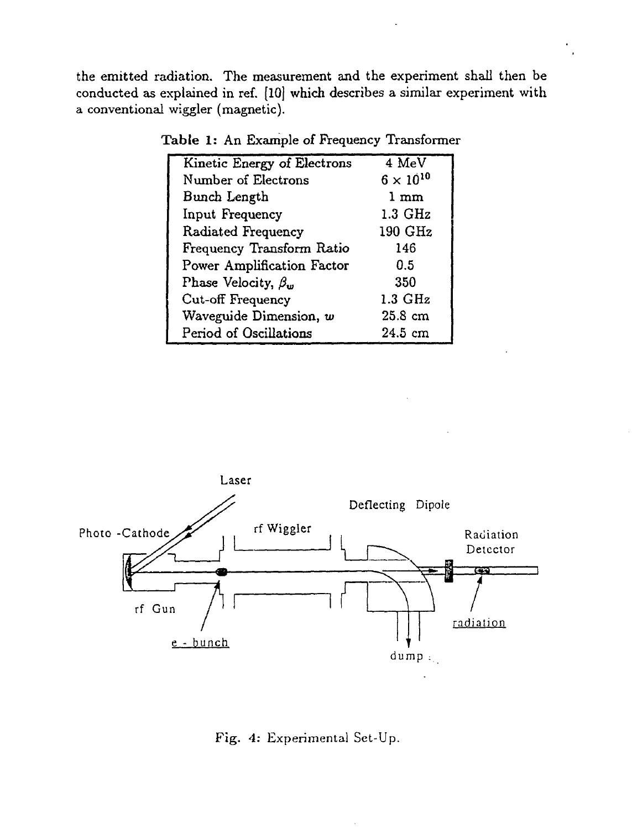the emitted radiation. The measurement and the experiment shall then be conducted as explained in ref. [10] which describes a similar experiment with a conventional wiggler (magnetic).

| Kinetic Energy of Electrons | 4 MeV              |
|-----------------------------|--------------------|
| Number of Electrons         | $6 \times 10^{10}$ |
| Bunch Length                | $1 \text{ mm}$     |
| Input Frequency             | $1.3\text{ GHz}$   |
| Radiated Frequency          | 190 GHz            |
| Frequency Transform Ratio   | 146                |
| Power Amplification Factor  | 0.5                |
| Phase Velocity, $\beta_w$   | 350                |
| Cut-off Frequency           | $1.3 \text{ GHz}$  |
| Waveguide Dimension, w      | $25.8\text{ cm}$   |
| Period of Oscillations      | $24.5 \text{ cm}$  |

Table 1: An Example of Frequency Transformer



Fig. *4:* Experimental Set-Up.